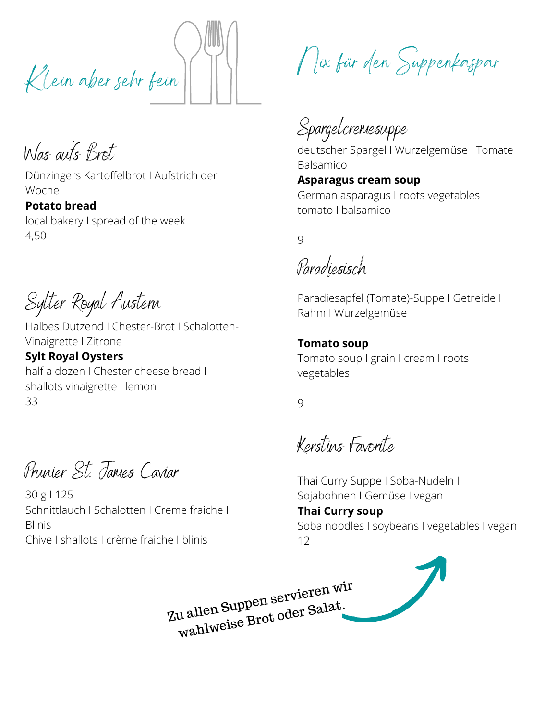Klein aber sehr fein

Was auf´s Brot

Dünzingers Kartoffelbrot I Aufstrich der Woche

**Potato bread** local bakery I spread of the week 4,50

Sylter Royal Austern

Halbes Dutzend I Chester-Brot I Schalotten-Vinaigrette I Zitrone

**Sylt Royal Oysters** half a dozen I Chester cheese bread I shallots vinaigrette I lemon 33

Prunier St. James Caviar

30 g I 125 Schnittlauch I Schalotten I Creme fraiche I Blinis Chive I shallots I crème fraiche I blinis

Nix für den Suppenkaspar

Spargelcremesuppe

deutscher Spargel I Wurzelgemüse I Tomate Balsamico

**Asparagus cream soup** German asparagus I roots vegetables I tomato I balsamico

 $\overline{Q}$ 

Paradiesisch

Paradiesapfel (Tomate)-Suppe I Getreide I Rahm I Wurzelgemüse

#### **Tomato soup**

Tomato soup I grain I cream I roots vegetables

9

Kerstins Favorite

Thai Curry Suppe I Soba-Nudeln I Sojabohnen I Gemüse I vegan **Thai Curry soup** Soba noodles I soybeans I vegetables I vegan 12

Zu allen Suppen servieren wir wahlweise Brot oder Salat.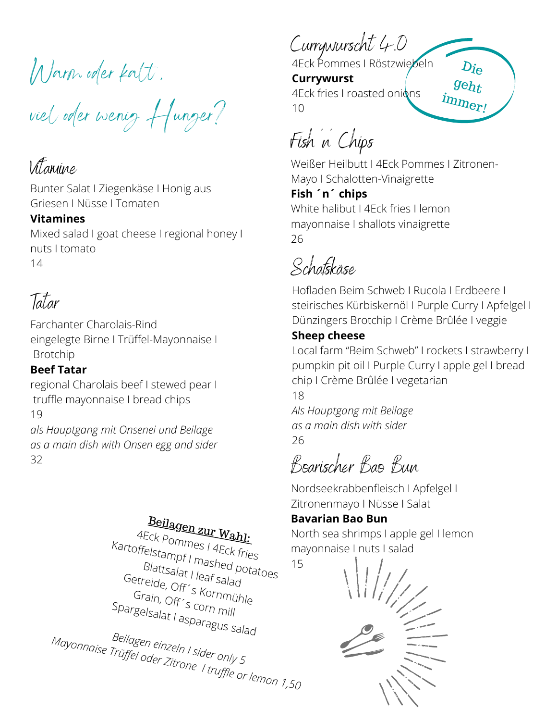Warm oder kalt ,

viel oder wenig Hunger?

## Vitamine

Bunter Salat I Ziegenkäse I Honig aus Griesen I Nüsse I Tomaten

## **Vitamines**

Mixed salad I goat cheese I regional honey I nuts I tomato 14

## Tatar

Farchanter Charolais-Rind eingelegte Birne I Trüffel-Mayonnaise I Brotchip

## **Beef Tatar**

regional Charolais beef I stewed pear I truffle mayonnaise I bread chips 19

*als Hauptgang mit Onsenei und Beilage as a main dish with Onsen egg and sider* 32

Beilagen zur Wahl: 4Eck Pommes I 4Eck fries Kartoffelstampf I mashed potatoes Blattsalat I leaf salad Getreide, Off´s Kornmühle Grain, Off´s corn mill Spargelsalat I asparagus salad *Mayonnaise Trüffel oder Zitrone Beilagen einzeln I sider only 5 I truffle or lemon 1,50*

Currywurscht 4.0

4Eck Pommes I Röstzwiebeln **Currywurst** 4Eck fries I roasted onions 10 immer!

Fish ´n´ Chips

Weißer Heilbutt I 4Eck Pommes I Zitronen-Mayo I Schalotten-Vinaigrette

Die

geht

**Fish ´n´ chips** White halibut I 4Eck fries I lemon mayonnaise I shallots vinaigrette 26

Schafskäse

Hofladen Beim Schweb I Rucola I Erdbeere I steirisches Kürbiskernöl I Purple Curry I Apfelgel I Dünzingers Brotchip I [Crème Brûlée I veggie](https://www.einfachbacken.de/rezepte/creme-brulee-so-gelingt-es-dir-garantiert)

## **Sheep cheese**

Local farm "Beim Schweb" I rockets I strawberry I pumpkin pit oil I Purple Curry I apple gel I bread chip I Crème Brûlée I vegetarian

18

*Als Hauptgang mit Beilage as a main dish with sider* 26

Boarischer Bao Bun

Nordseekrabbenfleisch I Apfelgel I Zitronenmayo I Nüsse I Salat

## **Bavarian Bao Bun**

North sea shrimps I apple gel I lemon mayonnaise I nuts I salad 15